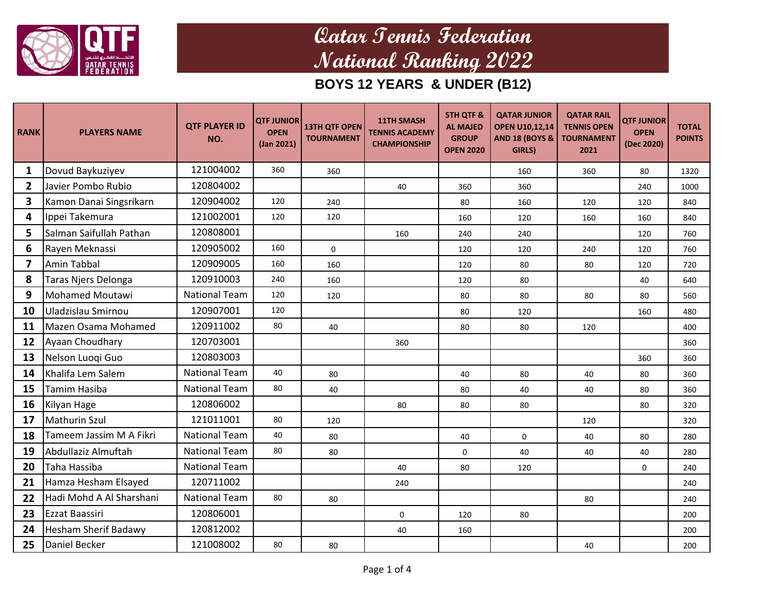

| <b>RANK</b>  | <b>PLAYERS NAME</b>         | <b>QTF PLAYER ID</b><br>NO. | <b>QTF JUNIOR</b><br><b>OPEN</b><br>(Jan 2021) | <b>13TH QTF OPEN</b><br><b>TOURNAMENT</b> | <b>11TH SMASH</b><br><b>TENNIS ACADEMY</b><br><b>CHAMPIONSHIP</b> | <b>5TH QTF &amp;</b><br><b>AL MAJED</b><br><b>GROUP</b><br><b>OPEN 2020</b> | <b>QATAR JUNIOR</b><br><b>OPEN U10,12,14</b><br><b>AND 18 (BOYS &amp;</b><br>GIRLS) | <b>QATAR RAIL</b><br><b>TENNIS OPEN</b><br><b>TOURNAMENT</b><br>2021 | <b>QTF JUNIOR</b><br><b>OPEN</b><br>(Dec 2020) | <b>TOTAL</b><br><b>POINTS</b> |
|--------------|-----------------------------|-----------------------------|------------------------------------------------|-------------------------------------------|-------------------------------------------------------------------|-----------------------------------------------------------------------------|-------------------------------------------------------------------------------------|----------------------------------------------------------------------|------------------------------------------------|-------------------------------|
| 1            | Dovud Baykuziyev            | 121004002                   | 360                                            | 360                                       |                                                                   |                                                                             | 160                                                                                 | 360                                                                  | 80                                             | 1320                          |
| $\mathbf{2}$ | Javier Pombo Rubio          | 120804002                   |                                                |                                           | 40                                                                | 360                                                                         | 360                                                                                 |                                                                      | 240                                            | 1000                          |
| 3            | Kamon Danai Singsrikarn     | 120904002                   | 120                                            | 240                                       |                                                                   | 80                                                                          | 160                                                                                 | 120                                                                  | 120                                            | 840                           |
| 4            | Ippei Takemura              | 121002001                   | 120                                            | 120                                       |                                                                   | 160                                                                         | 120                                                                                 | 160                                                                  | 160                                            | 840                           |
| 5            | Salman Saifullah Pathan     | 120808001                   |                                                |                                           | 160                                                               | 240                                                                         | 240                                                                                 |                                                                      | 120                                            | 760                           |
| 6            | Rayen Meknassi              | 120905002                   | 160                                            | $\mathbf 0$                               |                                                                   | 120                                                                         | 120                                                                                 | 240                                                                  | 120                                            | 760                           |
| 7            | <b>Amin Tabbal</b>          | 120909005                   | 160                                            | 160                                       |                                                                   | 120                                                                         | 80                                                                                  | 80                                                                   | 120                                            | 720                           |
| 8            | Taras Njers Delonga         | 120910003                   | 240                                            | 160                                       |                                                                   | 120                                                                         | 80                                                                                  |                                                                      | 40                                             | 640                           |
| 9            | <b>Mohamed Moutawi</b>      | <b>National Team</b>        | 120                                            | 120                                       |                                                                   | 80                                                                          | 80                                                                                  | 80                                                                   | 80                                             | 560                           |
| 10           | Uladzislau Smirnou          | 120907001                   | 120                                            |                                           |                                                                   | 80                                                                          | 120                                                                                 |                                                                      | 160                                            | 480                           |
| 11           | Mazen Osama Mohamed         | 120911002                   | 80                                             | 40                                        |                                                                   | 80                                                                          | 80                                                                                  | 120                                                                  |                                                | 400                           |
| 12           | Ayaan Choudhary             | 120703001                   |                                                |                                           | 360                                                               |                                                                             |                                                                                     |                                                                      |                                                | 360                           |
| 13           | Nelson Luogi Guo            | 120803003                   |                                                |                                           |                                                                   |                                                                             |                                                                                     |                                                                      | 360                                            | 360                           |
| 14           | Khalifa Lem Salem           | <b>National Team</b>        | 40                                             | 80                                        |                                                                   | 40                                                                          | 80                                                                                  | 40                                                                   | 80                                             | 360                           |
| 15           | Tamim Hasiba                | <b>National Team</b>        | 80                                             | 40                                        |                                                                   | 80                                                                          | 40                                                                                  | 40                                                                   | 80                                             | 360                           |
| 16           | Kilyan Hage                 | 120806002                   |                                                |                                           | 80                                                                | 80                                                                          | 80                                                                                  |                                                                      | 80                                             | 320                           |
| 17           | Mathurin Szul               | 121011001                   | 80                                             | 120                                       |                                                                   |                                                                             |                                                                                     | 120                                                                  |                                                | 320                           |
| 18           | Tameem Jassim M A Fikri     | <b>National Team</b>        | 40                                             | 80                                        |                                                                   | 40                                                                          | $\mathbf 0$                                                                         | 40                                                                   | 80                                             | 280                           |
| 19           | Abdullaziz Almuftah         | <b>National Team</b>        | 80                                             | 80                                        |                                                                   | 0                                                                           | 40                                                                                  | 40                                                                   | 40                                             | 280                           |
| 20           | Taha Hassiba                | <b>National Team</b>        |                                                |                                           | 40                                                                | 80                                                                          | 120                                                                                 |                                                                      | 0                                              | 240                           |
| 21           | Hamza Hesham Elsayed        | 120711002                   |                                                |                                           | 240                                                               |                                                                             |                                                                                     |                                                                      |                                                | 240                           |
| 22           | Hadi Mohd A Al Sharshani    | <b>National Team</b>        | 80                                             | 80                                        |                                                                   |                                                                             |                                                                                     | 80                                                                   |                                                | 240                           |
| 23           | Ezzat Baassiri              | 120806001                   |                                                |                                           | $\mathbf 0$                                                       | 120                                                                         | 80                                                                                  |                                                                      |                                                | 200                           |
| 24           | <b>Hesham Sherif Badawy</b> | 120812002                   |                                                |                                           | 40                                                                | 160                                                                         |                                                                                     |                                                                      |                                                | 200                           |
| 25           | Daniel Becker               | 121008002                   | 80                                             | 80                                        |                                                                   |                                                                             |                                                                                     | 40                                                                   |                                                | 200                           |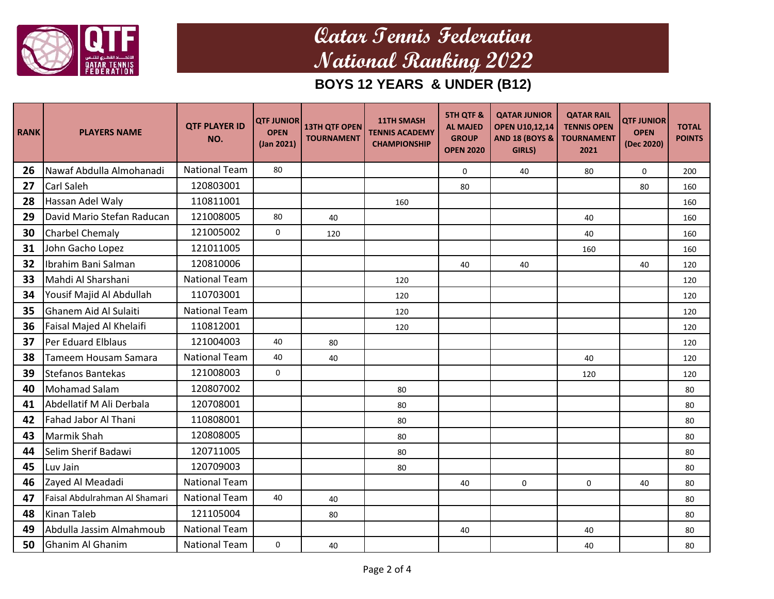

| <b>RANK</b> | <b>PLAYERS NAME</b>           | <b>QTF PLAYER ID</b><br>NO. | <b>QTF JUNIOR</b><br><b>OPEN</b><br>(Jan 2021) | <b>13TH QTF OPEN</b><br><b>TOURNAMENT</b> | <b>11TH SMASH</b><br><b>TENNIS ACADEMY</b><br><b>CHAMPIONSHIP</b> | <b>5TH QTF &amp;</b><br><b>AL MAJED</b><br><b>GROUP</b><br><b>OPEN 2020</b> | <b>QATAR JUNIOR</b><br><b>OPEN U10,12,14</b><br><b>AND 18 (BOYS &amp;</b><br>GIRLS) | <b>QATAR RAIL</b><br><b>TENNIS OPEN</b><br><b>TOURNAMENT</b><br>2021 | <b>QTF JUNIOR</b><br><b>OPEN</b><br>(Dec 2020) | <b>TOTAL</b><br><b>POINTS</b> |
|-------------|-------------------------------|-----------------------------|------------------------------------------------|-------------------------------------------|-------------------------------------------------------------------|-----------------------------------------------------------------------------|-------------------------------------------------------------------------------------|----------------------------------------------------------------------|------------------------------------------------|-------------------------------|
| 26          | Nawaf Abdulla Almohanadi      | <b>National Team</b>        | 80                                             |                                           |                                                                   | 0                                                                           | 40                                                                                  | 80                                                                   | $\mathbf 0$                                    | 200                           |
| 27          | <b>Carl Saleh</b>             | 120803001                   |                                                |                                           |                                                                   | 80                                                                          |                                                                                     |                                                                      | 80                                             | 160                           |
| 28          | Hassan Adel Waly              | 110811001                   |                                                |                                           | 160                                                               |                                                                             |                                                                                     |                                                                      |                                                | 160                           |
| 29          | David Mario Stefan Raducan    | 121008005                   | 80                                             | 40                                        |                                                                   |                                                                             |                                                                                     | 40                                                                   |                                                | 160                           |
| 30          | <b>Charbel Chemaly</b>        | 121005002                   | 0                                              | 120                                       |                                                                   |                                                                             |                                                                                     | 40                                                                   |                                                | 160                           |
| 31          | John Gacho Lopez              | 121011005                   |                                                |                                           |                                                                   |                                                                             |                                                                                     | 160                                                                  |                                                | 160                           |
| 32          | Ibrahim Bani Salman           | 120810006                   |                                                |                                           |                                                                   | 40                                                                          | 40                                                                                  |                                                                      | 40                                             | 120                           |
| 33          | Mahdi Al Sharshani            | <b>National Team</b>        |                                                |                                           | 120                                                               |                                                                             |                                                                                     |                                                                      |                                                | 120                           |
| 34          | Yousif Majid Al Abdullah      | 110703001                   |                                                |                                           | 120                                                               |                                                                             |                                                                                     |                                                                      |                                                | 120                           |
| 35          | Ghanem Aid Al Sulaiti         | <b>National Team</b>        |                                                |                                           | 120                                                               |                                                                             |                                                                                     |                                                                      |                                                | 120                           |
| 36          | Faisal Majed Al Khelaifi      | 110812001                   |                                                |                                           | 120                                                               |                                                                             |                                                                                     |                                                                      |                                                | 120                           |
| 37          | Per Eduard Elblaus            | 121004003                   | 40                                             | 80                                        |                                                                   |                                                                             |                                                                                     |                                                                      |                                                | 120                           |
| 38          | Tameem Housam Samara          | <b>National Team</b>        | 40                                             | 40                                        |                                                                   |                                                                             |                                                                                     | 40                                                                   |                                                | 120                           |
| 39          | Stefanos Bantekas             | 121008003                   | 0                                              |                                           |                                                                   |                                                                             |                                                                                     | 120                                                                  |                                                | 120                           |
| 40          | Mohamad Salam                 | 120807002                   |                                                |                                           | 80                                                                |                                                                             |                                                                                     |                                                                      |                                                | 80                            |
| 41          | Abdellatif M Ali Derbala      | 120708001                   |                                                |                                           | 80                                                                |                                                                             |                                                                                     |                                                                      |                                                | 80                            |
| 42          | Fahad Jabor Al Thani          | 110808001                   |                                                |                                           | 80                                                                |                                                                             |                                                                                     |                                                                      |                                                | 80                            |
| 43          | <b>Marmik Shah</b>            | 120808005                   |                                                |                                           | 80                                                                |                                                                             |                                                                                     |                                                                      |                                                | 80                            |
| 44          | Selim Sherif Badawi           | 120711005                   |                                                |                                           | 80                                                                |                                                                             |                                                                                     |                                                                      |                                                | 80                            |
| 45          | Luv Jain                      | 120709003                   |                                                |                                           | 80                                                                |                                                                             |                                                                                     |                                                                      |                                                | 80                            |
| 46          | Zayed Al Meadadi              | <b>National Team</b>        |                                                |                                           |                                                                   | 40                                                                          | $\mathbf 0$                                                                         | $\mathbf 0$                                                          | 40                                             | 80                            |
| 47          | Faisal Abdulrahman Al Shamari | <b>National Team</b>        | 40                                             | 40                                        |                                                                   |                                                                             |                                                                                     |                                                                      |                                                | 80                            |
| 48          | <b>Kinan Taleb</b>            | 121105004                   |                                                | 80                                        |                                                                   |                                                                             |                                                                                     |                                                                      |                                                | 80                            |
| 49          | Abdulla Jassim Almahmoub      | <b>National Team</b>        |                                                |                                           |                                                                   | 40                                                                          |                                                                                     | 40                                                                   |                                                | 80                            |
| 50          | Ghanim Al Ghanim              | <b>National Team</b>        | 0                                              | 40                                        |                                                                   |                                                                             |                                                                                     | 40                                                                   |                                                | 80                            |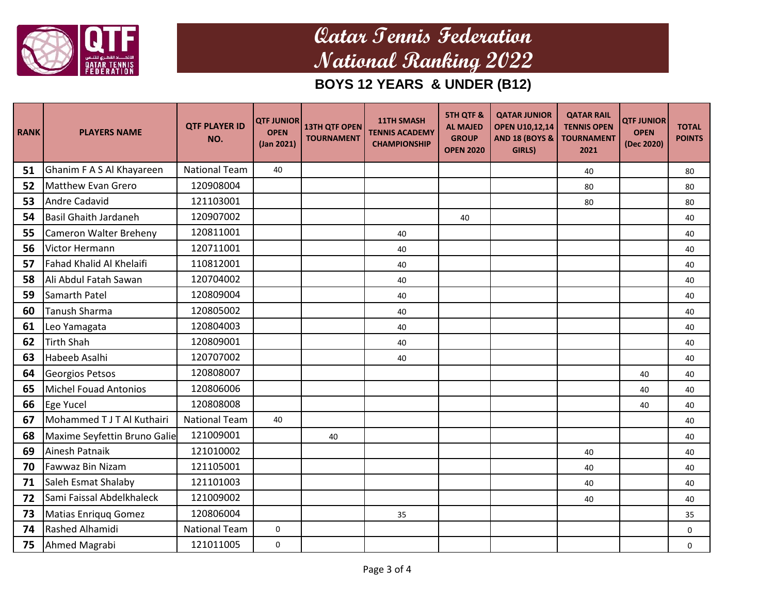

| <b>RANK</b> | <b>PLAYERS NAME</b>          | <b>QTF PLAYER ID</b><br>NO. | <b>QTF JUNIOR</b><br><b>OPEN</b><br>(Jan 2021) | <b>13TH QTF OPEN</b><br><b>TOURNAMENT</b> | <b>11TH SMASH</b><br><b>TENNIS ACADEMY</b><br><b>CHAMPIONSHIP</b> | <b>5TH QTF &amp;</b><br><b>AL MAJED</b><br><b>GROUP</b><br><b>OPEN 2020</b> | <b>QATAR JUNIOR</b><br><b>OPEN U10,12,14</b><br><b>AND 18 (BOYS &amp;</b><br>GIRLS) | <b>QATAR RAIL</b><br><b>TENNIS OPEN</b><br><b>TOURNAMENT</b><br>2021 | <b>QTF JUNIOR</b><br><b>OPEN</b><br>(Dec 2020) | <b>TOTAL</b><br><b>POINTS</b> |
|-------------|------------------------------|-----------------------------|------------------------------------------------|-------------------------------------------|-------------------------------------------------------------------|-----------------------------------------------------------------------------|-------------------------------------------------------------------------------------|----------------------------------------------------------------------|------------------------------------------------|-------------------------------|
| 51          | Ghanim F A S Al Khayareen    | <b>National Team</b>        | 40                                             |                                           |                                                                   |                                                                             |                                                                                     | 40                                                                   |                                                | 80                            |
| 52          | Matthew Evan Grero           | 120908004                   |                                                |                                           |                                                                   |                                                                             |                                                                                     | 80                                                                   |                                                | 80                            |
| 53          | <b>Andre Cadavid</b>         | 121103001                   |                                                |                                           |                                                                   |                                                                             |                                                                                     | 80                                                                   |                                                | 80                            |
| 54          | <b>Basil Ghaith Jardaneh</b> | 120907002                   |                                                |                                           |                                                                   | 40                                                                          |                                                                                     |                                                                      |                                                | 40                            |
| 55          | Cameron Walter Breheny       | 120811001                   |                                                |                                           | 40                                                                |                                                                             |                                                                                     |                                                                      |                                                | 40                            |
| 56          | Victor Hermann               | 120711001                   |                                                |                                           | 40                                                                |                                                                             |                                                                                     |                                                                      |                                                | 40                            |
| 57          | Fahad Khalid Al Khelaifi     | 110812001                   |                                                |                                           | 40                                                                |                                                                             |                                                                                     |                                                                      |                                                | 40                            |
| 58          | Ali Abdul Fatah Sawan        | 120704002                   |                                                |                                           | 40                                                                |                                                                             |                                                                                     |                                                                      |                                                | 40                            |
| 59          | Samarth Patel                | 120809004                   |                                                |                                           | 40                                                                |                                                                             |                                                                                     |                                                                      |                                                | 40                            |
| 60          | <b>Tanush Sharma</b>         | 120805002                   |                                                |                                           | 40                                                                |                                                                             |                                                                                     |                                                                      |                                                | 40                            |
| 61          | Leo Yamagata                 | 120804003                   |                                                |                                           | 40                                                                |                                                                             |                                                                                     |                                                                      |                                                | 40                            |
| 62          | <b>Tirth Shah</b>            | 120809001                   |                                                |                                           | 40                                                                |                                                                             |                                                                                     |                                                                      |                                                | 40                            |
| 63          | Habeeb Asalhi                | 120707002                   |                                                |                                           | 40                                                                |                                                                             |                                                                                     |                                                                      |                                                | 40                            |
| 64          | Georgios Petsos              | 120808007                   |                                                |                                           |                                                                   |                                                                             |                                                                                     |                                                                      | 40                                             | 40                            |
| 65          | Michel Fouad Antonios        | 120806006                   |                                                |                                           |                                                                   |                                                                             |                                                                                     |                                                                      | 40                                             | 40                            |
| 66          | Ege Yucel                    | 120808008                   |                                                |                                           |                                                                   |                                                                             |                                                                                     |                                                                      | 40                                             | 40                            |
| 67          | Mohammed T J T Al Kuthairi   | <b>National Team</b>        | 40                                             |                                           |                                                                   |                                                                             |                                                                                     |                                                                      |                                                | 40                            |
| 68          | Maxime Seyfettin Bruno Galie | 121009001                   |                                                | 40                                        |                                                                   |                                                                             |                                                                                     |                                                                      |                                                | 40                            |
| 69          | Ainesh Patnaik               | 121010002                   |                                                |                                           |                                                                   |                                                                             |                                                                                     | 40                                                                   |                                                | 40                            |
| 70          | Fawwaz Bin Nizam             | 121105001                   |                                                |                                           |                                                                   |                                                                             |                                                                                     | 40                                                                   |                                                | 40                            |
| 71          | Saleh Esmat Shalaby          | 121101003                   |                                                |                                           |                                                                   |                                                                             |                                                                                     | 40                                                                   |                                                | 40                            |
| 72          | Sami Faissal Abdelkhaleck    | 121009002                   |                                                |                                           |                                                                   |                                                                             |                                                                                     | 40                                                                   |                                                | 40                            |
| 73          | Matias Enriquq Gomez         | 120806004                   |                                                |                                           | 35                                                                |                                                                             |                                                                                     |                                                                      |                                                | 35                            |
| 74          | Rashed Alhamidi              | <b>National Team</b>        | $\mathbf 0$                                    |                                           |                                                                   |                                                                             |                                                                                     |                                                                      |                                                | 0                             |
| 75          | Ahmed Magrabi                | 121011005                   | 0                                              |                                           |                                                                   |                                                                             |                                                                                     |                                                                      |                                                | $\mathbf 0$                   |